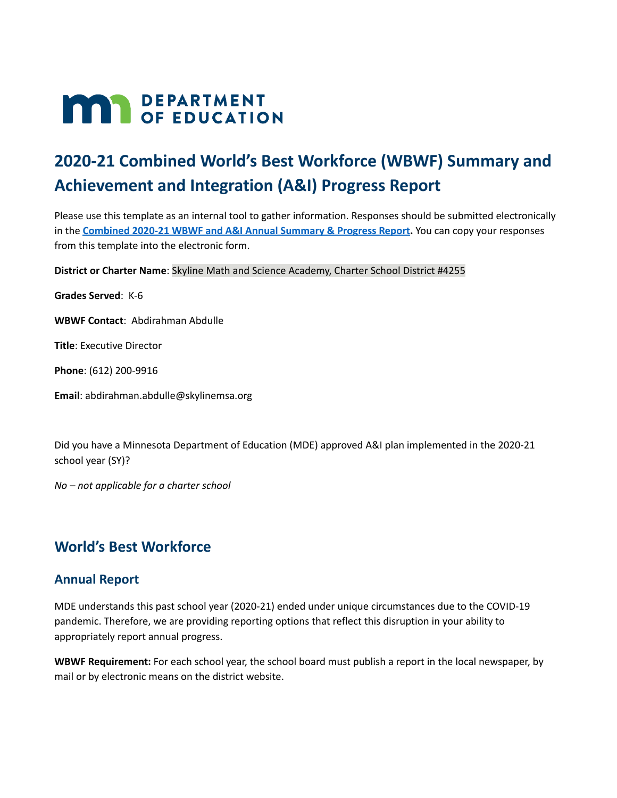# **MAR** DEPARTMENT

## **2020-21 Combined World's Best Workforce (WBWF) Summary and Achievement and Integration (A&I) Progress Report**

Please use this template as an internal tool to gather information. Responses should be submitted electronically in the **[Combined](https://survey.alchemer.com/s3/6457272/2020-21-Combined-World-s-Best-Workforce-WBWF-Summary-and-Achievement-and-Integration-A-I-Progress-Report-copy) 2020-21 WBWF and A&I Annual Summary & Progress Report.** You can copy your responses from this template into the electronic form.

**District or Charter Name**: Skyline Math and Science Academy, Charter School District #4255

**Grades Served**: K-6

**WBWF Contact**: Abdirahman Abdulle

**Title**: Executive Director

**Phone**: (612) 200-9916

**Email**: abdirahman.abdulle@skylinemsa.org

Did you have a Minnesota Department of Education (MDE) approved A&I plan implemented in the 2020-21 school year (SY)?

*No – not applicable for a charter school*

## **World's Best Workforce**

#### **Annual Report**

MDE understands this past school year (2020-21) ended under unique circumstances due to the COVID-19 pandemic. Therefore, we are providing reporting options that reflect this disruption in your ability to appropriately report annual progress.

**WBWF Requirement:** For each school year, the school board must publish a report in the local newspaper, by mail or by electronic means on the district website.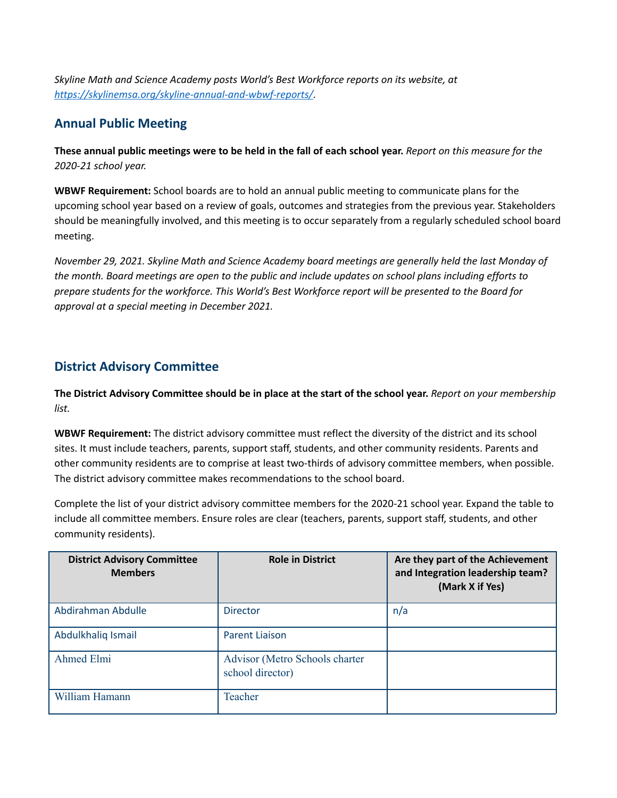*Skyline Math and Science Academy posts World's Best Workforce reports on its website, at <https://skylinemsa.org/skyline-annual-and-wbwf-reports/>*.

## **Annual Public Meeting**

These annual public meetings were to be held in the fall of each school year. Report on this measure for the *2020-21 school year.*

**WBWF Requirement:** School boards are to hold an annual public meeting to communicate plans for the upcoming school year based on a review of goals, outcomes and strategies from the previous year. Stakeholders should be meaningfully involved, and this meeting is to occur separately from a regularly scheduled school board meeting.

*November 29, 2021. Skyline Math and Science Academy board meetings are generally held the last Monday of* the month. Board meetings are open to the public and include updates on school plans including efforts to *prepare students for the workforce. This World's Best Workforce report will be presented to the Board for approval at a special meeting in December 2021.*

## **District Advisory Committee**

The District Advisory Committee should be in place at the start of the school year. Report on your membership *list.*

**WBWF Requirement:** The district advisory committee must reflect the diversity of the district and its school sites. It must include teachers, parents, support staff, students, and other community residents. Parents and other community residents are to comprise at least two-thirds of advisory committee members, when possible. The district advisory committee makes recommendations to the school board.

Complete the list of your district advisory committee members for the 2020-21 school year. Expand the table to include all committee members. Ensure roles are clear (teachers, parents, support staff, students, and other community residents).

| <b>District Advisory Committee</b><br><b>Members</b> | <b>Role in District</b>                            | Are they part of the Achievement<br>and Integration leadership team?<br>(Mark X if Yes) |
|------------------------------------------------------|----------------------------------------------------|-----------------------------------------------------------------------------------------|
| Abdirahman Abdulle                                   | <b>Director</b>                                    | n/a                                                                                     |
| Abdulkhaliq Ismail                                   | <b>Parent Liaison</b>                              |                                                                                         |
| Ahmed Elmi                                           | Advisor (Metro Schools charter<br>school director) |                                                                                         |
| William Hamann                                       | Teacher                                            |                                                                                         |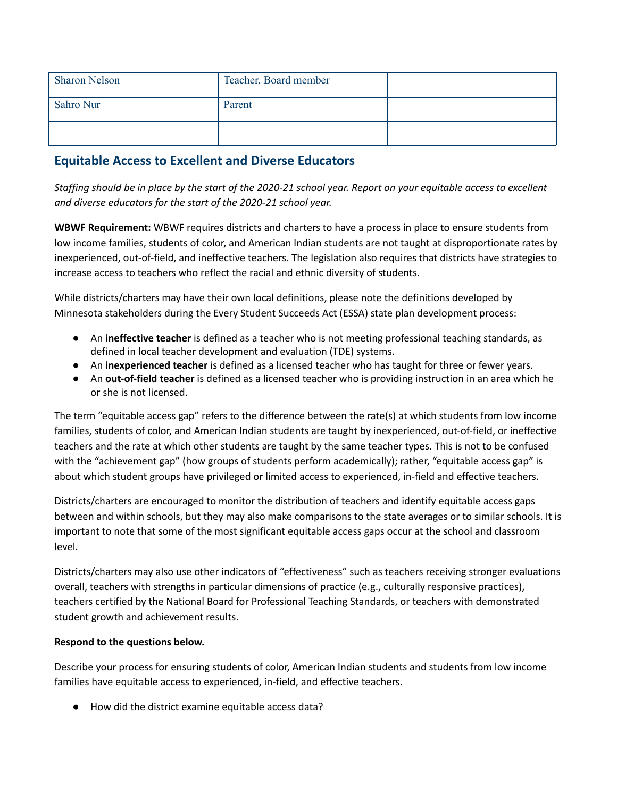| <b>Sharon Nelson</b> | Teacher, Board member |  |
|----------------------|-----------------------|--|
| Sahro Nur            | Parent                |  |
|                      |                       |  |

## **Equitable Access to Excellent and Diverse Educators**

Staffing should be in place by the start of the 2020-21 school year. Report on your equitable access to excellent *and diverse educators for the start of the 2020-21 school year.*

**WBWF Requirement:** WBWF requires districts and charters to have a process in place to ensure students from low income families, students of color, and American Indian students are not taught at disproportionate rates by inexperienced, out-of-field, and ineffective teachers. The legislation also requires that districts have strategies to increase access to teachers who reflect the racial and ethnic diversity of students.

While districts/charters may have their own local definitions, please note the definitions developed by Minnesota stakeholders during the Every Student Succeeds Act (ESSA) state plan development process:

- An **ineffective teacher** is defined as a teacher who is not meeting professional teaching standards, as defined in local teacher development and evaluation (TDE) systems.
- An **inexperienced teacher** is defined as a licensed teacher who has taught for three or fewer years.
- An **out-of-field teacher** is defined as a licensed teacher who is providing instruction in an area which he or she is not licensed.

The term "equitable access gap" refers to the difference between the rate(s) at which students from low income families, students of color, and American Indian students are taught by inexperienced, out-of-field, or ineffective teachers and the rate at which other students are taught by the same teacher types. This is not to be confused with the "achievement gap" (how groups of students perform academically); rather, "equitable access gap" is about which student groups have privileged or limited access to experienced, in-field and effective teachers.

Districts/charters are encouraged to monitor the distribution of teachers and identify equitable access gaps between and within schools, but they may also make comparisons to the state averages or to similar schools. It is important to note that some of the most significant equitable access gaps occur at the school and classroom level.

Districts/charters may also use other indicators of "effectiveness" such as teachers receiving stronger evaluations overall, teachers with strengths in particular dimensions of practice (e.g., culturally responsive practices), teachers certified by the National Board for Professional Teaching Standards, or teachers with demonstrated student growth and achievement results.

#### **Respond to the questions below.**

Describe your process for ensuring students of color, American Indian students and students from low income families have equitable access to experienced, in-field, and effective teachers.

● How did the district examine equitable access data?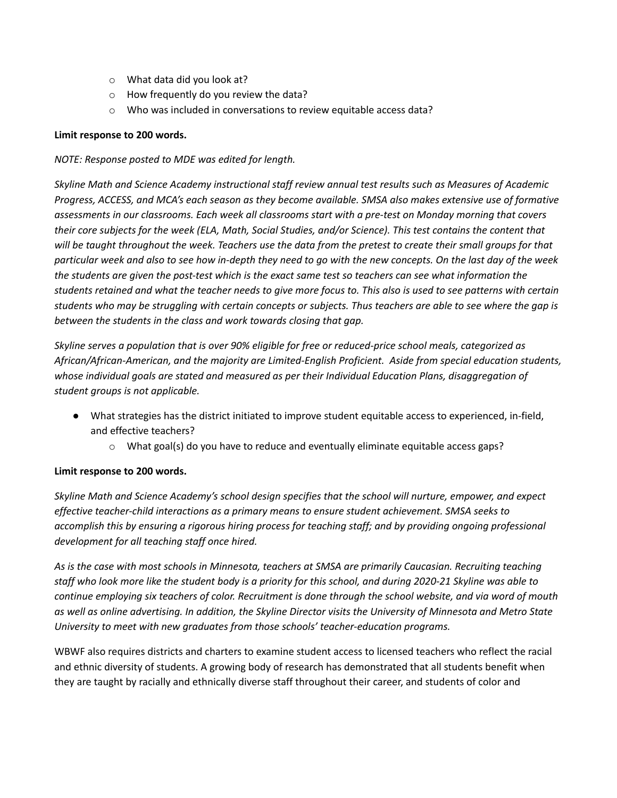- o What data did you look at?
- o How frequently do you review the data?
- o Who was included in conversations to review equitable access data?

#### **Limit response to 200 words.**

#### *NOTE: Response posted to MDE was edited for length.*

*Skyline Math and Science Academy instructional staff review annual test results such as Measures of Academic* Progress, ACCESS, and MCA's each season as they become available. SMSA also makes extensive use of formative assessments in our classrooms. Each week all classrooms start with a pre-test on Monday morning that covers their core subjects for the week (ELA, Math, Social Studies, and/or Science). This test contains the content that will be taught throughout the week. Teachers use the data from the pretest to create their small groups for that particular week and also to see how in-depth they need to go with the new concepts. On the last day of the week the students are given the post-test which is the exact same test so teachers can see what information the students retained and what the teacher needs to give more focus to. This also is used to see patterns with certain students who may be struggling with certain concepts or subjects. Thus teachers are able to see where the gap is *between the students in the class and work towards closing that gap.*

Skyline serves a population that is over 90% eligible for free or reduced-price school meals, categorized as *African/African-American, and the majority are Limited-English Proficient. Aside from special education students, whose individual goals are stated and measured as per their Individual Education Plans, disaggregation of student groups is not applicable.*

- What strategies has the district initiated to improve student equitable access to experienced, in-field, and effective teachers?
	- $\circ$  What goal(s) do you have to reduce and eventually eliminate equitable access gaps?

#### **Limit response to 200 words.**

*Skyline Math and Science Academy's school design specifies that the school will nurture, empower, and expect effective teacher-child interactions as a primary means to ensure student achievement. SMSA seeks to accomplish this by ensuring a rigorous hiring process for teaching staff; and by providing ongoing professional development for all teaching staff once hired.*

As is the case with most schools in Minnesota, teachers at SMSA are primarily Caucasian. Recruiting teaching staff who look more like the student body is a priority for this school, and during 2020-21 Skyline was able to continue employing six teachers of color. Recruitment is done through the school website, and via word of mouth as well as online advertising. In addition, the Skyline Director visits the University of Minnesota and Metro State *University to meet with new graduates from those schools' teacher-education programs.*

WBWF also requires districts and charters to examine student access to licensed teachers who reflect the racial and ethnic diversity of students. A growing body of research has demonstrated that all students benefit when they are taught by racially and ethnically diverse staff throughout their career, and students of color and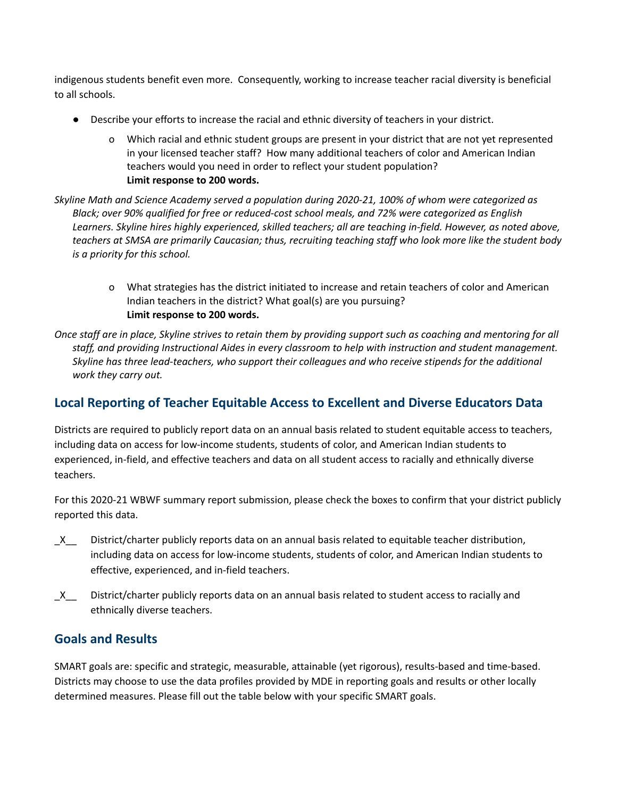indigenous students benefit even more. Consequently, working to increase teacher racial diversity is beneficial to all schools.

- Describe your efforts to increase the racial and ethnic diversity of teachers in your district.
	- o Which racial and ethnic student groups are present in your district that are not yet represented in your licensed teacher staff? How many additional teachers of color and American Indian teachers would you need in order to reflect your student population? **Limit response to 200 words.**

*Skyline Math and Science Academy served a population during 2020-21, 100% of whom were categorized as Black; over 90% qualified for free or reduced-cost school meals, and 72% were categorized as English Learners. Skyline hires highly experienced, skilled teachers; all are teaching in-field. However, as noted above,* teachers at SMSA are primarily Caucasian; thus, recruiting teaching staff who look more like the student body *is a priority for this school.*

> o What strategies has the district initiated to increase and retain teachers of color and American Indian teachers in the district? What goal(s) are you pursuing? **Limit response to 200 words.**

Once staff are in place, Skyline strives to retain them by providing support such as coaching and mentoring for all *staff, and providing Instructional Aides in every classroom to help with instruction and student management. Skyline has three lead-teachers, who support their colleagues and who receive stipends for the additional work they carry out.*

## **Local Reporting of Teacher Equitable Access to Excellent and Diverse Educators Data**

Districts are required to publicly report data on an annual basis related to student equitable access to teachers, including data on access for low-income students, students of color, and American Indian students to experienced, in-field, and effective teachers and data on all student access to racially and ethnically diverse teachers.

For this 2020-21 WBWF summary report submission, please check the boxes to confirm that your district publicly reported this data.

- \_X\_\_ District/charter publicly reports data on an annual basis related to equitable teacher distribution, including data on access for low-income students, students of color, and American Indian students to effective, experienced, and in-field teachers.
- \_X\_\_ District/charter publicly reports data on an annual basis related to student access to racially and ethnically diverse teachers.

### **Goals and Results**

SMART goals are: specific and strategic, measurable, attainable (yet rigorous), results-based and time-based. Districts may choose to use the data profiles provided by MDE in reporting goals and results or other locally determined measures. Please fill out the table below with your specific SMART goals.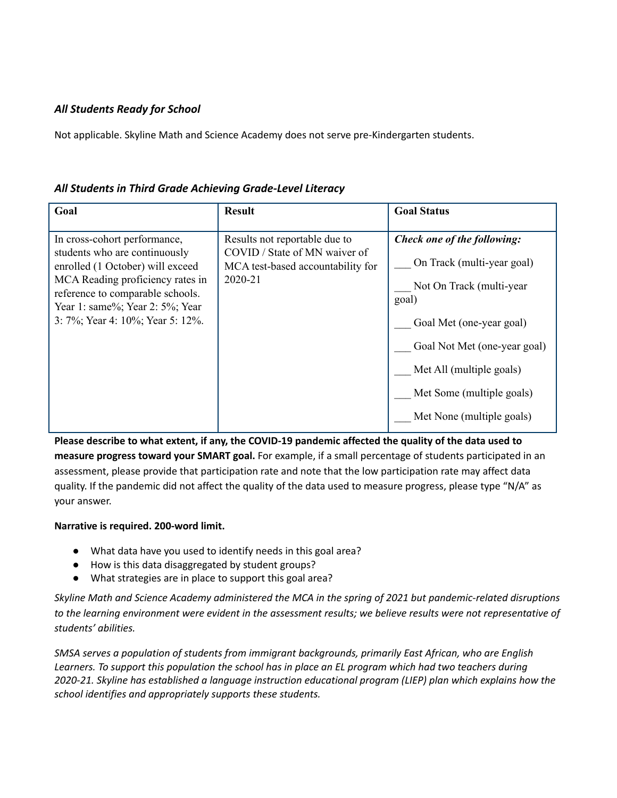#### *All Students Ready for School*

Not applicable. Skyline Math and Science Academy does not serve pre-Kindergarten students.

|  |  |  | All Students in Third Grade Achieving Grade-Level Literacy |
|--|--|--|------------------------------------------------------------|
|--|--|--|------------------------------------------------------------|

| Goal                                                                                                                                                                                                                                             | <b>Result</b>                                                                                                  | <b>Goal Status</b>                                                                                                                                                                                                                               |
|--------------------------------------------------------------------------------------------------------------------------------------------------------------------------------------------------------------------------------------------------|----------------------------------------------------------------------------------------------------------------|--------------------------------------------------------------------------------------------------------------------------------------------------------------------------------------------------------------------------------------------------|
| In cross-cohort performance,<br>students who are continuously<br>enrolled (1 October) will exceed<br>MCA Reading proficiency rates in<br>reference to comparable schools.<br>Year 1: same%; Year 2: 5%; Year<br>3: 7%; Year 4: 10%; Year 5: 12%. | Results not reportable due to<br>COVID / State of MN waiver of<br>MCA test-based accountability for<br>2020-21 | Check one of the following:<br>On Track (multi-year goal)<br>Not On Track (multi-year<br>goal)<br>Goal Met (one-year goal)<br>Goal Not Met (one-year goal)<br>Met All (multiple goals)<br>Met Some (multiple goals)<br>Met None (multiple goals) |

Please describe to what extent, if any, the COVID-19 pandemic affected the quality of the data used to **measure progress toward your SMART goal.** For example, if a small percentage of students participated in an assessment, please provide that participation rate and note that the low participation rate may affect data quality. If the pandemic did not affect the quality of the data used to measure progress, please type "N/A" as your answer.

#### **Narrative is required. 200-word limit.**

- What data have you used to identify needs in this goal area?
- How is this data disaggregated by student groups?
- What strategies are in place to support this goal area?

*Skyline Math and Science Academy administered the MCA in the spring of 2021 but pandemic-related disruptions* to the learning environment were evident in the assessment results; we believe results were not representative of *students' abilities.*

*SMSA serves a population of students from immigrant backgrounds, primarily East African, who are English* Learners. To support this population the school has in place an EL program which had two teachers during *2020-21. Skyline has established a language instruction educational program (LIEP) plan which explains how the school identifies and appropriately supports these students.*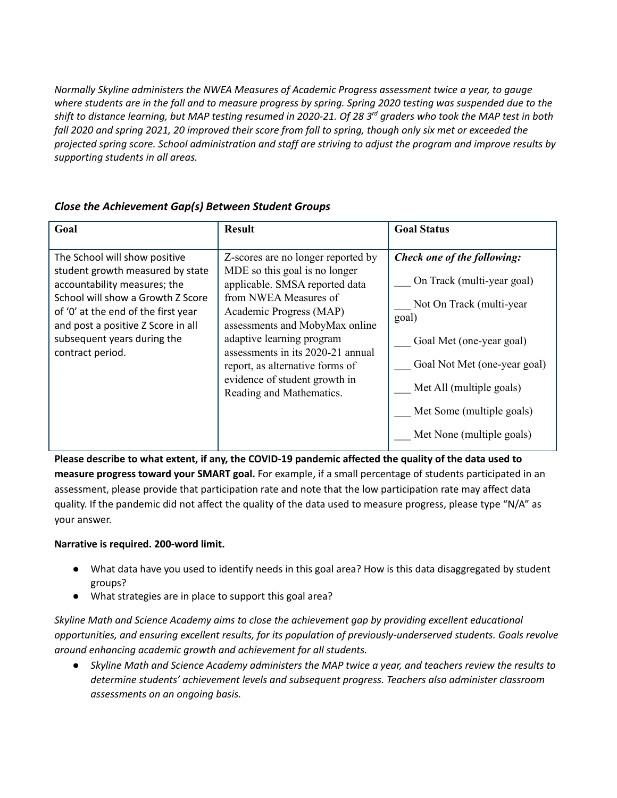*Normally Skyline administers the NWEA Measures of Academic Progress assessment twice a year, to gauge* where students are in the fall and to measure progress by spring. Spring 2020 testing was suspended due to the shift to distance learning, but MAP testing resumed in 2020-21. Of 28 3<sup>rd</sup> graders who took the MAP test in both fall 2020 and spring 2021, 20 improved their score from fall to spring, though only six met or exceeded the projected spring score. School administration and staff are striving to adjust the program and improve results by *supporting students in all areas.*

| Goal                                                                      | <b>Result</b>                                                    | <b>Goal Status</b>           |
|---------------------------------------------------------------------------|------------------------------------------------------------------|------------------------------|
|                                                                           |                                                                  |                              |
| The School will show positive                                             | Z-scores are no longer reported by                               | Check one of the following:  |
| student growth measured by state                                          | MDE so this goal is no longer                                    | On Track (multi-year goal)   |
| accountability measures; the                                              | applicable. SMSA reported data                                   |                              |
| School will show a Growth Z Score                                         | from NWEA Measures of                                            | Not On Track (multi-year     |
| of '0' at the end of the first year<br>and post a positive Z Score in all | Academic Progress (MAP)<br>assessments and MobyMax online        | goal)                        |
|                                                                           |                                                                  |                              |
| subsequent years during the                                               | adaptive learning program                                        | Goal Met (one-year goal)     |
| contract period.                                                          | assessments in its 2020-21 annual                                | Goal Not Met (one-year goal) |
|                                                                           | report, as alternative forms of<br>evidence of student growth in |                              |
|                                                                           | Reading and Mathematics.                                         | Met All (multiple goals)     |
|                                                                           |                                                                  |                              |
|                                                                           |                                                                  | Met Some (multiple goals)    |
|                                                                           |                                                                  | Met None (multiple goals)    |
|                                                                           |                                                                  |                              |

#### *Close the Achievement Gap(s) Between Student Groups*

Please describe to what extent, if any, the COVID-19 pandemic affected the quality of the data used to **measure progress toward your SMART goal.** For example, if a small percentage of students participated in an assessment, please provide that participation rate and note that the low participation rate may affect data quality. If the pandemic did not affect the quality of the data used to measure progress, please type "N/A" as your answer.

#### **Narrative is required. 200-word limit.**

- What data have you used to identify needs in this goal area? How is this data disaggregated by student groups?
- What strategies are in place to support this goal area?

*Skyline Math and Science Academy aims to close the achievement gap by providing excellent educational opportunities, and ensuring excellent results, for its population of previously-underserved students. Goals revolve around enhancing academic growth and achievement for all students.*

• Skyline Math and Science Academy administers the MAP twice a year, and teachers review the results to *determine students' achievement levels and subsequent progress. Teachers also administer classroom assessments on an ongoing basis.*